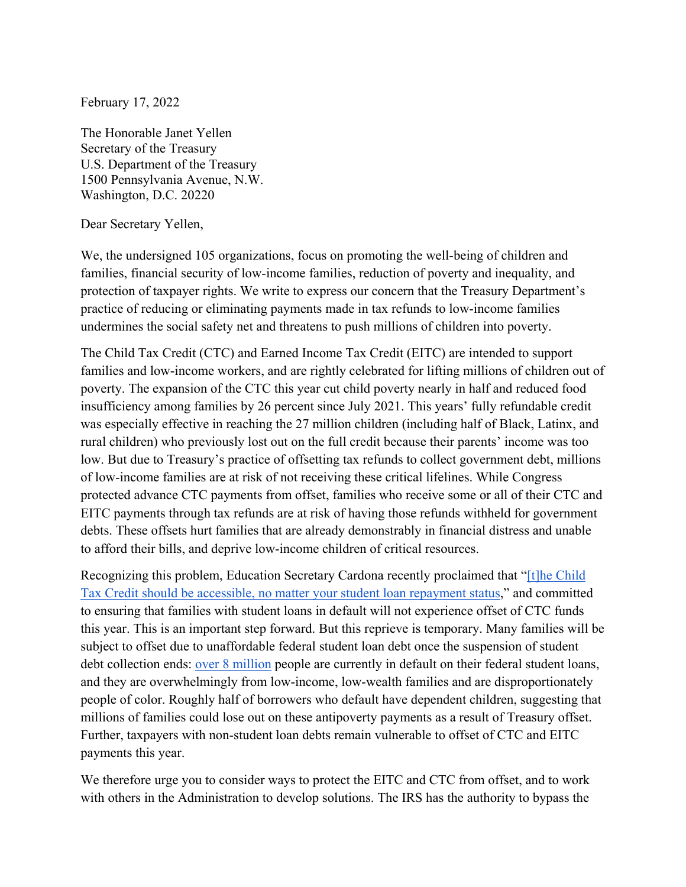February 17, 2022

The Honorable Janet Yellen Secretary of the Treasury U.S. Department of the Treasury 1500 Pennsylvania Avenue, N.W. Washington, D.C. 20220

## Dear Secretary Yellen,

We, the undersigned 105 organizations, focus on promoting the well-being of children and families, financial security of low-income families, reduction of poverty and inequality, and protection of taxpayer rights. We write to express our concern that the Treasury Department's practice of reducing or eliminating payments made in tax refunds to low-income families undermines the social safety net and threatens to push millions of children into poverty.

The Child Tax Credit (CTC) and Earned Income Tax Credit (EITC) are intended to support families and low-income workers, and are rightly celebrated for lifting millions of children out of poverty. The expansion of the CTC this year cut child poverty nearly in half and reduced food insufficiency among families by 26 percent since July 2021. This years' fully refundable credit was especially effective in reaching the 27 million children (including half of Black, Latinx, and rural children) who previously lost out on the full credit because their parents' income was too low. But due to Treasury's practice of offsetting tax refunds to collect government debt, millions of low-income families are at risk of not receiving these critical lifelines. While Congress protected advance CTC payments from offset, families who receive some or all of their CTC and EITC payments through tax refunds are at risk of having those refunds withheld for government debts. These offsets hurt families that are already demonstrably in financial distress and unable to afford their bills, and deprive low-income children of critical resources.

Recognizing this problem, Education Secretary Cardona recently proclaimed that "[t]he Child [Tax Credit should be accessible, no matter your student loan repayment status,](https://twitter.com/SecCardona/status/1491192688561225731)" and committed to ensuring that families with student loans in default will not experience offset of CTC funds this year. This is an important step forward. But this reprieve is temporary. Many families will be subject to offset due to unaffordable federal student loan debt once the suspension of student debt collection ends: [over 8 million](https://studentaid.gov/data-center/student/portfolio) people are currently in default on their federal student loans, and they are overwhelmingly from low-income, low-wealth families and are disproportionately people of color. Roughly half of borrowers who default have dependent children, suggesting that millions of families could lose out on these antipoverty payments as a result of Treasury offset. Further, taxpayers with non-student loan debts remain vulnerable to offset of CTC and EITC payments this year.

We therefore urge you to consider ways to protect the EITC and CTC from offset, and to work with others in the Administration to develop solutions. The IRS has the authority to bypass the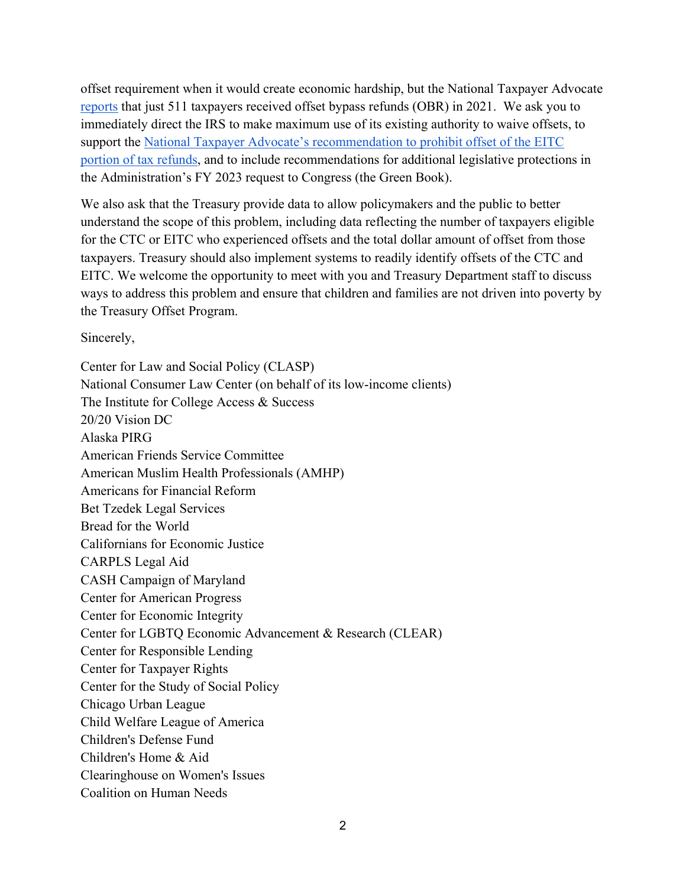offset requirement when it would create economic hardship, but the National Taxpayer Advocate [reports](https://www.taxpayeradvocate.irs.gov/wp-content/uploads/2022/01/ARC21_PurpleBook_03_ImproveAssmtCollect_17.pdf) that just 511 taxpayers received offset bypass refunds (OBR) in 2021. We ask you to immediately direct the IRS to make maximum use of its existing authority to waive offsets, to support the [National Taxpayer Advocate's recommendation to prohibit offset of the EITC](https://www.taxpayeradvocate.irs.gov/wp-content/uploads/2022/01/ARC21_PurpleBook_03_ImproveAssmtCollect_17.pdf)  [portion of tax refunds,](https://www.taxpayeradvocate.irs.gov/wp-content/uploads/2022/01/ARC21_PurpleBook_03_ImproveAssmtCollect_17.pdf) and to include recommendations for additional legislative protections in the Administration's FY 2023 request to Congress (the Green Book).

We also ask that the Treasury provide data to allow policymakers and the public to better understand the scope of this problem, including data reflecting the number of taxpayers eligible for the CTC or EITC who experienced offsets and the total dollar amount of offset from those taxpayers. Treasury should also implement systems to readily identify offsets of the CTC and EITC. We welcome the opportunity to meet with you and Treasury Department staff to discuss ways to address this problem and ensure that children and families are not driven into poverty by the Treasury Offset Program.

Sincerely,

Center for Law and Social Policy (CLASP) National Consumer Law Center (on behalf of its low-income clients) The Institute for College Access & Success 20/20 Vision DC Alaska PIRG American Friends Service Committee American Muslim Health Professionals (AMHP) Americans for Financial Reform Bet Tzedek Legal Services Bread for the World Californians for Economic Justice CARPLS Legal Aid CASH Campaign of Maryland Center for American Progress Center for Economic Integrity Center for LGBTQ Economic Advancement & Research (CLEAR) Center for Responsible Lending Center for Taxpayer Rights Center for the Study of Social Policy Chicago Urban League Child Welfare League of America Children's Defense Fund Children's Home & Aid Clearinghouse on Women's Issues Coalition on Human Needs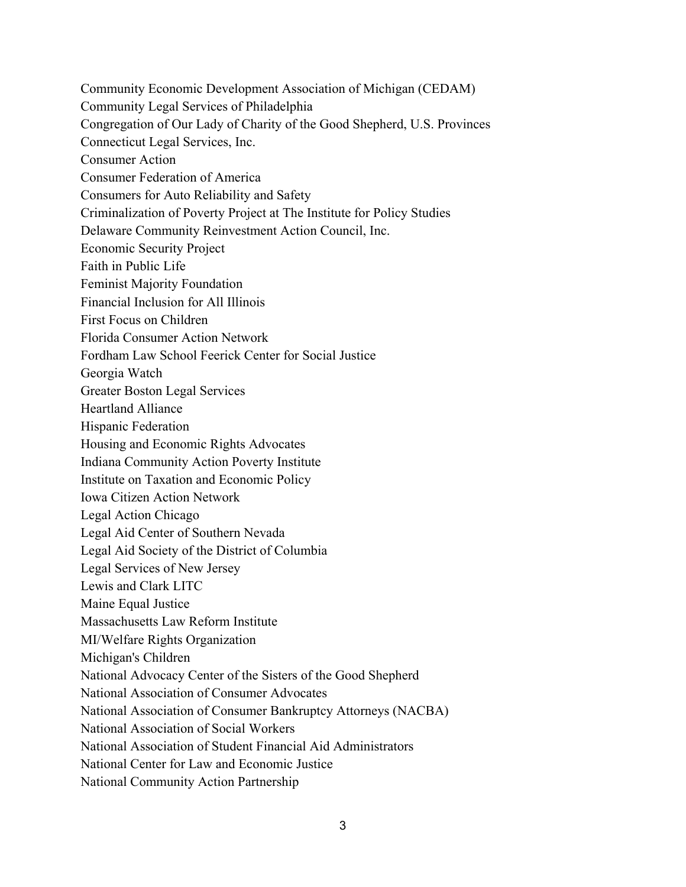Community Economic Development Association of Michigan (CEDAM) Community Legal Services of Philadelphia Congregation of Our Lady of Charity of the Good Shepherd, U.S. Provinces Connecticut Legal Services, Inc. Consumer Action Consumer Federation of America Consumers for Auto Reliability and Safety Criminalization of Poverty Project at The Institute for Policy Studies Delaware Community Reinvestment Action Council, Inc. Economic Security Project Faith in Public Life Feminist Majority Foundation Financial Inclusion for All Illinois First Focus on Children Florida Consumer Action Network Fordham Law School Feerick Center for Social Justice Georgia Watch Greater Boston Legal Services Heartland Alliance Hispanic Federation Housing and Economic Rights Advocates Indiana Community Action Poverty Institute Institute on Taxation and Economic Policy Iowa Citizen Action Network Legal Action Chicago Legal Aid Center of Southern Nevada Legal Aid Society of the District of Columbia Legal Services of New Jersey Lewis and Clark LITC Maine Equal Justice Massachusetts Law Reform Institute MI/Welfare Rights Organization Michigan's Children National Advocacy Center of the Sisters of the Good Shepherd National Association of Consumer Advocates National Association of Consumer Bankruptcy Attorneys (NACBA) National Association of Social Workers National Association of Student Financial Aid Administrators National Center for Law and Economic Justice National Community Action Partnership